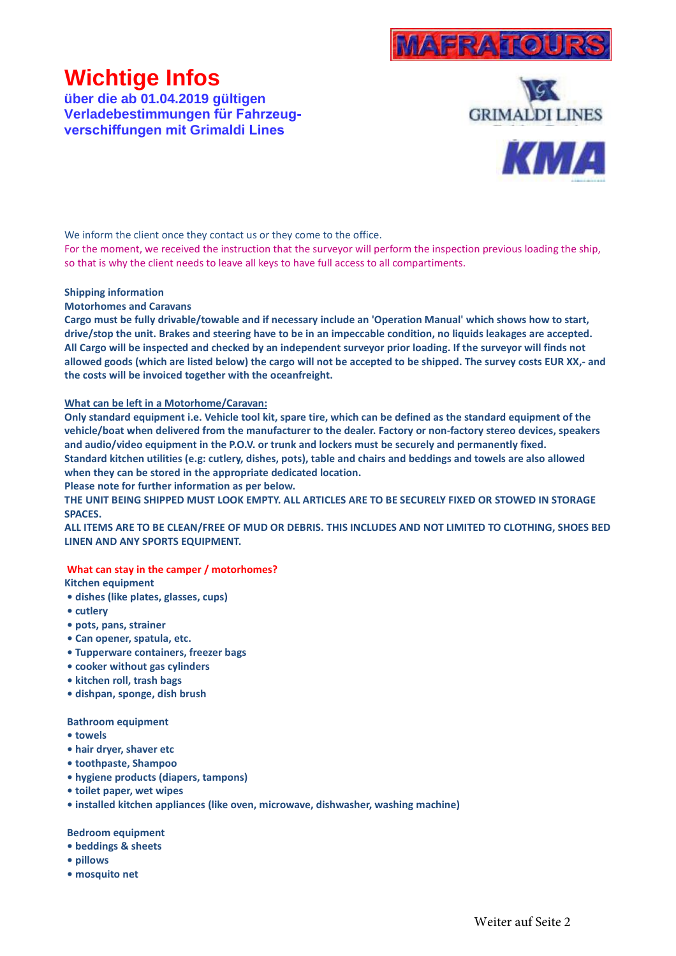

# **Wichtige Infos**

**über die ab 01.04.2019 gültigen Verladebestimmungen für Fahrzeugverschiffungen mit Grimaldi Lines**



We inform the client once they contact us or they come to the office.

For the moment, we received the instruction that the surveyor will perform the inspection previous loading the ship, so that is why the client needs to leave all keys to have full access to all compartiments.

## **Shipping information**

## **Motorhomes and Caravans**

**Cargo must be fully drivable/towable and if necessary include an 'Operation Manual' which shows how to start, drive/stop the unit. Brakes and steering have to be in an impeccable condition, no liquids leakages are accepted. All Cargo will be inspected and checked by an independent surveyor prior loading. If the surveyor will finds not allowed goods (which are listed below) the cargo will not be accepted to be shipped. The survey costs EUR XX,- and the costs will be invoiced together with the oceanfreight.**

## **What can be left in a Motorhome/Caravan:**

**Only standard equipment i.e. Vehicle tool kit, spare tire, which can be defined as the standard equipment of the vehicle/boat when delivered from the manufacturer to the dealer. Factory or non-factory stereo devices, speakers and audio/video equipment in the P.O.V. or trunk and lockers must be securely and permanently fixed. Standard kitchen utilities (e.g: cutlery, dishes, pots), table and chairs and beddings and towels are also allowed when they can be stored in the appropriate dedicated location.**

**Please note for further information as per below.**

**THE UNIT BEING SHIPPED MUST LOOK EMPTY. ALL ARTICLES ARE TO BE SECURELY FIXED OR STOWED IN STORAGE SPACES.**

**ALL ITEMS ARE TO BE CLEAN/FREE OF MUD OR DEBRIS. THIS INCLUDES AND NOT LIMITED TO CLOTHING, SHOES BED LINEN AND ANY SPORTS EQUIPMENT.**

# **What can stay in the camper / motorhomes?**

**Kitchen equipment**

- **dishes (like plates, glasses, cups)**
- **cutlery**
- **pots, pans, strainer**
- **Can opener, spatula, etc.**
- **Tupperware containers, freezer bags**
- **cooker without gas cylinders**
- **kitchen roll, trash bags**
- **dishpan, sponge, dish brush**

#### **Bathroom equipment**

- **towels**
- **hair dryer, shaver etc**
- **toothpaste, Shampoo**
- **hygiene products (diapers, tampons)**
- **toilet paper, wet wipes**
- **installed kitchen appliances (like oven, microwave, dishwasher, washing machine)**

#### **Bedroom equipment**

- **beddings & sheets**
- **pillows**
- **mosquito net**